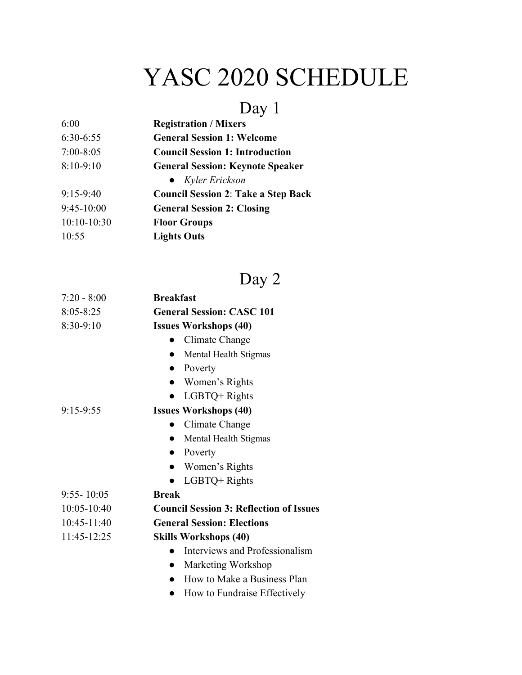## YASC 2020 SCHEDULE

## Day 1

| 6:00          | <b>Registration / Mixers</b>               |
|---------------|--------------------------------------------|
| 6:30-6:55     | <b>General Session 1: Welcome</b>          |
| $7:00 - 8:05$ | <b>Council Session 1: Introduction</b>     |
| $8:10-9:10$   | <b>General Session: Keynote Speaker</b>    |
|               | $\bullet$ Kyler Erickson                   |
| $9:15-9:40$   | <b>Council Session 2: Take a Step Back</b> |
| $9:45-10:00$  | <b>General Session 2: Closing</b>          |
| $10:10-10:30$ | <b>Floor Groups</b>                        |
| 10:55         | <b>Lights Outs</b>                         |
|               |                                            |

## Day 2

| $7:20 - 8:00$  | <b>Breakfast</b>                               |
|----------------|------------------------------------------------|
| $8:05 - 8:25$  | <b>General Session: CASC 101</b>               |
| 8:30-9:10      | <b>Issues Workshops (40)</b>                   |
|                | Climate Change                                 |
|                | Mental Health Stigmas                          |
|                | Poverty<br>$\bullet$                           |
|                | Women's Rights<br>$\bullet$                    |
|                | LGBTQ+ Rights                                  |
| 9:15-9:55      | <b>Issues Workshops (40)</b>                   |
|                | Climate Change                                 |
|                | Mental Health Stigmas                          |
|                | Poverty<br>$\bullet$                           |
|                | Women's Rights<br>$\bullet$                    |
|                | LGBTQ+ Rights                                  |
| $9:55 - 10:05$ | <b>Break</b>                                   |
| 10:05-10:40    | <b>Council Session 3: Reflection of Issues</b> |
| 10:45-11:40    | <b>General Session: Elections</b>              |
| 11:45-12:25    | <b>Skills Workshops (40)</b>                   |
|                | Interviews and Professionalism                 |
|                | Marketing Workshop                             |
|                | How to Make a Business Plan                    |
|                | How to Fundraise Effectively                   |
|                |                                                |